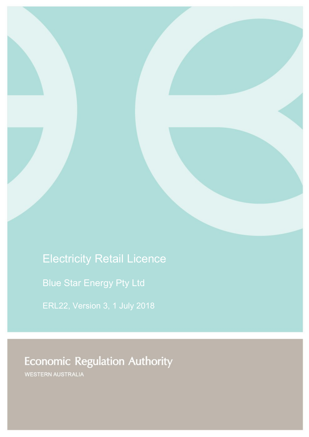# Electricity Retail Licence

Blue Star Energy Pty Ltd

ERL22, Version 3, 1 July 2018

**Economic Regulation Authority** 

WESTERN AUSTRALIA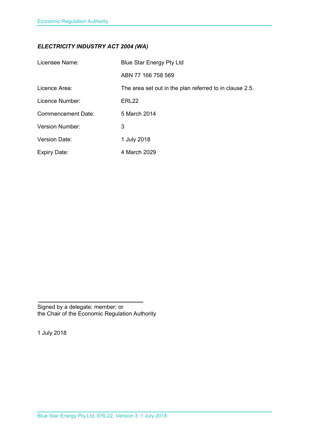# *ELECTRICITY INDUSTRY ACT 2004 (WA)*

| Licensee Name:            | Blue Star Energy Pty Ltd                                |
|---------------------------|---------------------------------------------------------|
|                           | ABN 77 166 758 569                                      |
| Licence Area:             | The area set out in the plan referred to in clause 2.5. |
| Licence Number:           | ERL22                                                   |
| <b>Commencement Date:</b> | 5 March 2014                                            |
| <b>Version Number:</b>    | 3                                                       |
| Version Date:             | 1 July 2018                                             |
| <b>Expiry Date:</b>       | 4 March 2029                                            |

Signed by a delegate; member; or the Chair of the Economic Regulation Authority

1 July 2018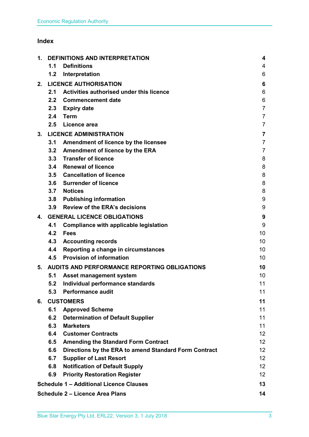# **Index**

| 1. |                                    | <b>DEFINITIONS AND INTERPRETATION</b>                 | 4               |
|----|------------------------------------|-------------------------------------------------------|-----------------|
|    | 1.1                                | <b>Definitions</b>                                    | 4               |
|    | 1.2                                | Interpretation                                        | 6               |
| 2. |                                    | <b>LICENCE AUTHORISATION</b>                          | 6               |
|    | 2.1                                | Activities authorised under this licence              | 6               |
|    | 2.2 <sub>2</sub>                   | <b>Commencement date</b>                              | 6               |
|    | 2.3                                | <b>Expiry date</b>                                    | $\overline{7}$  |
|    | 2.4                                | <b>Term</b>                                           | $\overline{7}$  |
|    | 2.5                                | Licence area                                          | $\overline{7}$  |
| 3. | <b>LICENCE ADMINISTRATION</b>      |                                                       | 7               |
|    | 3.1                                | Amendment of licence by the licensee                  | $\overline{7}$  |
|    | 3.2                                | <b>Amendment of licence by the ERA</b>                | $\overline{7}$  |
|    | 3.3                                | <b>Transfer of licence</b>                            | 8               |
|    | 3.4                                | <b>Renewal of licence</b>                             | 8               |
|    | 3.5                                | <b>Cancellation of licence</b>                        | 8               |
|    | 3.6                                | <b>Surrender of licence</b>                           | 8               |
|    | 3.7                                | <b>Notices</b>                                        | 8               |
|    | 3.8                                | <b>Publishing information</b>                         | 9               |
|    | 3.9                                | <b>Review of the ERA's decisions</b>                  | 9               |
| 4. | <b>GENERAL LICENCE OBLIGATIONS</b> |                                                       | 9               |
|    | 4.1                                | Compliance with applicable legislation                | 9               |
|    | 4.2                                | <b>Fees</b>                                           | 10              |
|    | 4.3                                | <b>Accounting records</b>                             | 10              |
|    | 4.4                                | Reporting a change in circumstances                   | 10              |
|    | 4.5                                | <b>Provision of information</b>                       | 10              |
| 5. |                                    | AUDITS AND PERFORMANCE REPORTING OBLIGATIONS          | 10              |
|    | 5.1                                | <b>Asset management system</b>                        | 10              |
|    | 5.2                                | Individual performance standards                      | 11              |
|    | 5.3                                | <b>Performance audit</b>                              | 11              |
| 6. | <b>CUSTOMERS</b>                   |                                                       | 11              |
|    | 6.1                                | <b>Approved Scheme</b>                                | 11              |
|    | 6.2                                | <b>Determination of Default Supplier</b>              | 11              |
|    | 6.3                                | <b>Marketers</b>                                      | 11              |
|    | 6.4                                | <b>Customer Contracts</b>                             | 12 <sub>2</sub> |
|    | 6.5                                | <b>Amending the Standard Form Contract</b>            | 12 <sub>2</sub> |
|    | 6.6                                | Directions by the ERA to amend Standard Form Contract | 12 <sub>2</sub> |
|    | 6.7                                | <b>Supplier of Last Resort</b>                        | 12 <sub>2</sub> |
|    | 6.8                                | <b>Notification of Default Supply</b>                 | 12 <sup>2</sup> |
|    | 6.9                                | <b>Priority Restoration Register</b>                  | 12 <sup>2</sup> |
|    |                                    | <b>Schedule 1 - Additional Licence Clauses</b>        | 13              |
|    |                                    | <b>Schedule 2 - Licence Area Plans</b>                | 14              |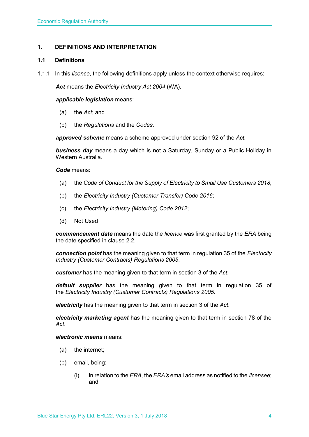#### <span id="page-3-0"></span>**1. DEFINITIONS AND INTERPRETATION**

#### <span id="page-3-1"></span>**1.1 Definitions**

1.1.1 In this *licence*, the following definitions apply unless the context otherwise requires:

*Act* means the *Electricity Industry Act 2004* (WA).

#### *applicable legislation* means:

- (a) the *Act*; and
- (b) the *Regulations* and the *Codes*.

*approved scheme* means a scheme approved under section 92 of the *Act.* 

*business day* means a day which is not a Saturday, Sunday or a Public Holiday in Western Australia.

*Code* means:

- (a) the *Code of Conduct for the Supply of Electricity to Small Use Customers 2018*;
- (b) the *Electricity Industry (Customer Transfer) Code 2016*;
- (c) the *Electricity Industry (Metering) Code 2012*;
- (d) Not Used

*commencement date* means the date the *licence* was first granted by the *ERA* being the date specified in clause 2.2.

*connection point* has the meaning given to that term in regulation 35 of the *[Electricity](http://www.slp.wa.gov.au/legislation/statutes.nsf/main_mrtitle_1345_homepage.html)  [Industry \(Customer Contracts\) Regulations 2005](http://www.slp.wa.gov.au/legislation/statutes.nsf/main_mrtitle_1345_homepage.html)*.

*customer* has the meaning given to that term in section 3 of the *Act*.

*default supplier* has the meaning given to that term in regulation 35 of the *Electricity [Industry \(Customer Contracts\) Regulations 2005.](http://www.slp.wa.gov.au/legislation/statutes.nsf/main_mrtitle_1345_homepage.html)*

*electricity* has the meaning given to that term in section 3 of the *Act*.

*electricity marketing agent* has the meaning given to that term in section 78 of the *Act*.

#### *electronic means* means:

- (a) the internet;
- (b) email, being:
	- (i) in relation to the *ERA*, the *ERA's* email address as notified to the *licensee*; and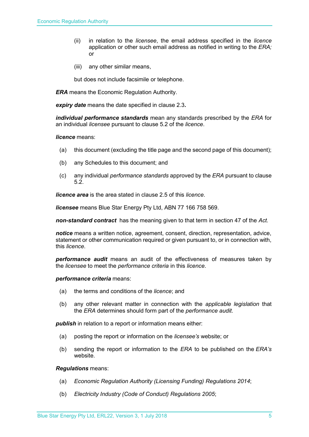- (ii) in relation to the *licensee*, the email address specified in the *licence* application or other such email address as notified in writing to the *ERA;* or
- (iii) any other similar means,

but does not include facsimile or telephone.

*ERA* means the Economic Regulation Authority.

*expiry date* means the date specified in clause 2.3*.*

*individual performance standards* mean any standards prescribed by the *ERA* for an individual *licensee* pursuant to clause 5.2 of the *licence*.

#### *licence* means:

- (a) this document (excluding the title page and the second page of this document);
- (b) any Schedules to this document; and
- (c) any individual *performance standards* approved by the *ERA* pursuant to clause 5.2.

*licence area* is the area stated in clause 2.5 of this *licence*.

*licensee* means Blue Star Energy Pty Ltd, ABN 77 166 758 569.

*non-standard contract* has the meaning given to that term in section 47 of the *Act.* 

*notice* means a written notice, agreement, consent, direction, representation, advice, statement or other communication required or given pursuant to, or in connection with, this *licence*.

*performance audit* means an audit of the effectiveness of measures taken by the *licensee* to meet the *performance criteria* in this *licence*.

#### *performance criteria* means:

- (a) the terms and conditions of the *licence*; and
- (b) any other relevant matter in connection with the *applicable legislation* that the *ERA* determines should form part of the *performance audit*.

*publish* in relation to a report or information means either:

- (a) posting the report or information on the *licensee's* website; or
- (b) sending the report or information to the *ERA* to be published on the *ERA's* website.

#### *Regulations* means:

- (a) *Economic Regulation Authority (Licensing Funding) Regulations 2014*;
- (b) *Electricity Industry (Code of Conduct) Regulations 2005*;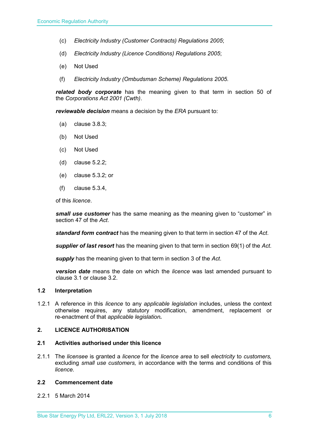- (c) *Electricity Industry (Customer Contracts) Regulations 2005*;
- (d) *Electricity Industry (Licence Conditions) Regulations 2005*;
- (e) Not Used
- (f) *Electricity Industry (Ombudsman Scheme) Regulations 2005.*

*related body corporate* has the meaning given to that term in section 50 of the *Corporations Act 2001 (Cwth)*.

*reviewable decision* means a decision by the *ERA* pursuant to:

- (a) clause 3.8.3;
- (b) Not Used
- (c) Not Used
- (d) clause 5.2.2;
- (e) clause 5.3.2; or
- (f) clause 5.3.4,

of this *licence*.

*small use customer* has the same meaning as the meaning given to "customer" in section 47 of the *Act*.

*standard form contract* has the meaning given to that term in section 47 of the *Act*.

*supplier of last resort* has the meaning given to that term in section 69(1) of the *Act*.

*supply* has the meaning given to that term in section 3 of the *Act*.

*version date* means the date on which the *licence* was last amended pursuant to clause 3.1 or clause 3.2.

#### <span id="page-5-0"></span>**1.2 Interpretation**

1.2.1 A reference in this *licence* to any *applicable legislation* includes, unless the context otherwise requires, any statutory modification, amendment, replacement or re-enactment of that *applicable legislation.*

#### <span id="page-5-1"></span>**2. LICENCE AUTHORISATION**

#### <span id="page-5-2"></span>**2.1 Activities authorised under this licence**

2.1.1 The *licensee* is granted a *licence* for the *licence area* to sell *electricity* to *customers,*  excluding *small use customers,* in accordance with the terms and conditions of this *licence.*

#### <span id="page-5-3"></span>**2.2 Commencement date**

2.2.1 5 March 2014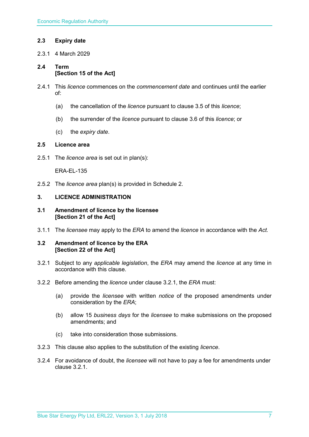### <span id="page-6-0"></span>**2.3 Expiry date**

2.3.1 4 March 2029

### <span id="page-6-1"></span>**2.4 Term [Section 15 of the Act]**

- 2.4.1 This *licence* commences on the *commencement date* and continues until the earlier of:
	- (a) the cancellation of the *licence* pursuant to clause 3.5 of this *licence*;
	- (b) the surrender of the *licence* pursuant to clause 3.6 of this *licence*; or
	- (c) the *expiry date*.

### <span id="page-6-2"></span>**2.5 Licence area**

2.5.1 The *licence area* is set out in plan(s):

ERA-EL-135

2.5.2 The *licence area* plan(s) is provided in Schedule 2.

#### <span id="page-6-3"></span>**3. LICENCE ADMINISTRATION**

#### <span id="page-6-4"></span>**3.1 Amendment of licence by the licensee [Section 21 of the Act]**

3.1.1 The *licensee* may apply to the *ERA* to amend the *licence* in accordance with the *Act.*

#### <span id="page-6-5"></span>**3.2 Amendment of licence by the ERA [Section 22 of the Act]**

- 3.2.1 Subject to any *applicable legislation*, the *ERA* may amend the *licence* at any time in accordance with this clause.
- 3.2.2 Before amending the *licence* under clause 3.2.1, the *ERA* must:
	- (a) provide the *licensee* with written *notice* of the proposed amendments under consideration by the *ERA*;
	- (b) allow 15 *business days* for the *licensee* to make submissions on the proposed amendments; and
	- (c) take into consideration those submissions.
- 3.2.3 This clause also applies to the substitution of the existing *licence*.
- 3.2.4 For avoidance of doubt, the *licensee* will not have to pay a fee for amendments under clause 3.2.1.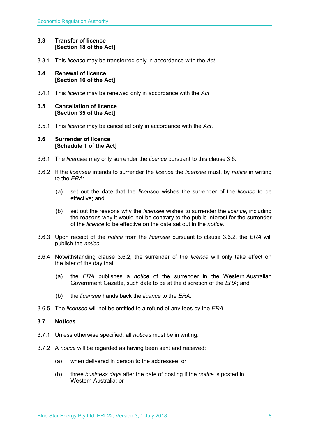### <span id="page-7-0"></span>**3.3 Transfer of licence [Section 18 of the Act]**

3.3.1 This *licence* may be transferred only in accordance with the *Act.*

#### <span id="page-7-1"></span>**3.4 Renewal of licence [Section 16 of the Act]**

3.4.1 This *licence* may be renewed only in accordance with the *Act*.

### <span id="page-7-2"></span>**3.5 Cancellation of licence [Section 35 of the Act]**

3.5.1 This *licence* may be cancelled only in accordance with the *Act*.

#### <span id="page-7-3"></span>**3.6 Surrender of licence [Schedule 1 of the Act]**

- 3.6.1 The *licensee* may only surrender the *licence* pursuant to this clause 3.6.
- 3.6.2 If the *licensee* intends to surrender the *licence* the *licensee* must, by *notice* in writing to the *ERA*:
	- (a) set out the date that the *licensee* wishes the surrender of the *licence* to be effective; and
	- (b) set out the reasons why the *licensee* wishes to surrender the *licence*, including the reasons why it would not be contrary to the public interest for the surrender of the *licence* to be effective on the date set out in the *notice*.
- 3.6.3 Upon receipt of the *notice* from the *licensee* pursuant to clause 3.6.2, the *ERA* will publish the *notice*.
- 3.6.4 Notwithstanding clause 3.6.2, the surrender of the *licence* will only take effect on the later of the day that:
	- (a) the *ERA* publishes a *notice* of the surrender in the Western Australian Government Gazette, such date to be at the discretion of the *ERA*; and
	- (b) the *licensee* hands back the *licence* to the *ERA*.
- 3.6.5 The *licensee* will not be entitled to a refund of any fees by the *ERA*.

#### <span id="page-7-4"></span>**3.7 Notices**

- 3.7.1 Unless otherwise specified, all *notices* must be in writing.
- 3.7.2 A *notice* will be regarded as having been sent and received:
	- (a) when delivered in person to the addressee; or
	- (b) three *business days* after the date of posting if the *notice* is posted in Western Australia; or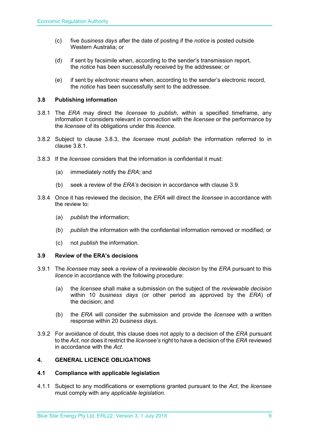- (c) five *business days* after the date of posting if the *notice* is posted outside Western Australia; or
- (d) if sent by facsimile when, according to the sender's transmission report, the *notice* has been successfully received by the addressee; or
- (e) if sent by *electronic means* when, according to the sender's electronic record, the *notice* has been successfully sent to the addressee.

### <span id="page-8-0"></span>**3.8 Publishing information**

- 3.8.1 The *ERA* may direct the *licensee* to *publish*, within a specified timeframe, any information it considers relevant in connection with the *licensee* or the performance by the *licensee* of its obligations under this *licence*.
- 3.8.2 Subject to clause 3.8.3, the *licensee* must *publish* the information referred to in clause 3.8.1.
- 3.8.3 If the *licensee* considers that the information is confidential it must:
	- (a) immediately notify the *ERA*; and
	- (b) seek a review of the *ERA's* decision in accordance with clause 3.9.
- 3.8.4 Once it has reviewed the decision, the *ERA* will direct the *licensee* in accordance with the review to:
	- (a) *publish* the information;
	- (b) *publish* the information with the confidential information removed or modified; or
	- (c) not *publish* the information.

#### <span id="page-8-1"></span>**3.9 Review of the ERA's decisions**

- 3.9.1 The *licensee* may seek a review of a *reviewable decision* by the *ERA* pursuant to this *licence* in accordance with the following procedure:
	- (a) the *licensee* shall make a submission on the subject of the *reviewable decision* within 10 *business days* (or other period as approved by the *ERA*) of the decision; and
	- (b) the *ERA* will consider the submission and provide the *licensee* with a written response within 20 *business days*.
- 3.9.2 For avoidance of doubt, this clause does not apply to a decision of the *ERA* pursuant to the *Act*, nor does it restrict the *licensee's* right to have a decision of the *ERA* reviewed in accordance with the *Act*.

#### <span id="page-8-2"></span>**4. GENERAL LICENCE OBLIGATIONS**

#### <span id="page-8-3"></span>**4.1 Compliance with applicable legislation**

4.1.1 Subject to any modifications or exemptions granted pursuant to the *Act*, the *licensee* must comply with any *applicable legislation*.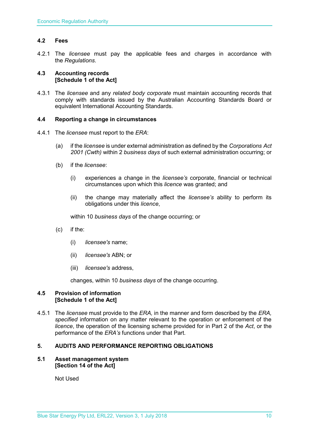### <span id="page-9-0"></span>**4.2 Fees**

4.2.1 The *licensee* must pay the applicable fees and charges in accordance with the *Regulations*.

#### <span id="page-9-1"></span>**4.3 Accounting records [Schedule 1 of the Act]**

4.3.1 The *licensee* and any *related body corporate* must maintain accounting records that comply with standards issued by the Australian Accounting Standards Board or equivalent International Accounting Standards.

#### <span id="page-9-2"></span>**4.4 Reporting a change in circumstances**

- 4.4.1 The *licensee* must report to the *ERA*:
	- (a) if the *licensee* is under external administration as defined by the *Corporations Act 2001 (Cwth)* within 2 *business days* of such external administration occurring; or
	- (b) if the *licensee*:
		- (i) experiences a change in the *licensee's* corporate, financial or technical circumstances upon which this *licence* was granted; and
		- (ii) the change may materially affect the *licensee's* ability to perform its obligations under this *licence*,

within 10 *business days* of the change occurring; or

- (c) if the:
	- (i) *licensee's* name;
	- (ii) *licensee's* ABN; or
	- (iii) *licensee's* address,

changes, within 10 *business days* of the change occurring.

#### <span id="page-9-3"></span>**4.5 Provision of information [Schedule 1 of the Act]**

4.5.1 The *licensee* must provide to the *ERA,* in the manner and form described by the *ERA, specified* information on any matter relevant to the operation or enforcement of the *licence*, the operation of the licensing scheme provided for in Part 2 of the *Act*, or the performance of the *ERA's* functions under that Part.

#### <span id="page-9-4"></span>**5. AUDITS AND PERFORMANCE REPORTING OBLIGATIONS**

#### <span id="page-9-5"></span>**5.1 Asset management system [Section 14 of the Act]**

Not Used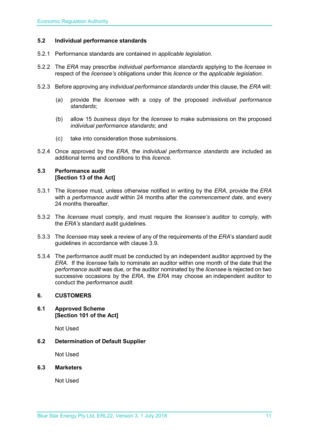#### <span id="page-10-0"></span>**5.2 Individual performance standards**

- 5.2.1 Performance standards are contained in *applicable legislation*.
- 5.2.2 The *ERA* may prescribe *individual performance standards* applying to the *licensee* in respect of the *licensee's* obligations under this *licence* or the *applicable legislation*.
- 5.2.3 Before approving any *individual performance standards* under this clause, the *ERA* will:
	- (a) provide the *licensee* with a copy of the proposed *individual performance standards*;
	- (b) allow 15 *business days* for the *licensee* to make submissions on the proposed *individual performance standards*; and
	- (c) take into consideration those submissions.
- 5.2.4 Once approved by the *ERA*, the *individual performance standards* are included as additional terms and conditions to this *licence*.

#### <span id="page-10-1"></span>**5.3 Performance audit [Section 13 of the Act]**

- 5.3.1 The *licensee* must, unless otherwise notified in writing by the *ERA*, provide the *ERA* with a *performance audit* within 24 months after the *commencement date*, and every 24 months thereafter.
- 5.3.2 The *licensee* must comply, and must require the *licensee's* auditor to comply, with the *ERA's* standard audit guidelines.
- 5.3.3 The *licensee* may seek a review of any of the requirements of the *ERA*'s standard audit guidelines in accordance with clause 3.9.
- 5.3.4 The *performance audit* must be conducted by an independent auditor approved by the *ERA*. If the *licensee* fails to nominate an auditor within one month of the date that the *performance audit* was due, or the auditor nominated by the *licensee* is rejected on two successive occasions by the *ERA*, the *ERA* may choose an independent auditor to conduct the *performance audit*.

#### <span id="page-10-2"></span>**6. CUSTOMERS**

<span id="page-10-3"></span>**6.1 Approved Scheme [Section 101 of the Act]**

Not Used

<span id="page-10-4"></span>**6.2 Determination of Default Supplier** 

Not Used

#### <span id="page-10-5"></span>**6.3 Marketers**

Not Used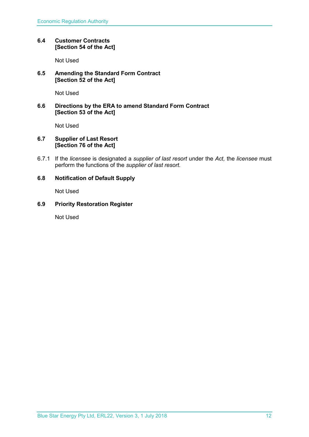#### <span id="page-11-0"></span>**6.4 Customer Contracts [Section 54 of the Act]**

Not Used

### <span id="page-11-1"></span>**6.5 Amending the Standard Form Contract [Section 52 of the Act]**

Not Used

#### <span id="page-11-2"></span>**6.6 Directions by the ERA to amend Standard Form Contract [Section 53 of the Act]**

Not Used

### <span id="page-11-3"></span>**6.7 Supplier of Last Resort [Section 76 of the Act]**

6.7.1 If the *licensee* is designated a *supplier of last resort* under the *Act,* the *licensee* must perform the functions of the *supplier of last resort.* 

### <span id="page-11-4"></span>**6.8 Notification of Default Supply**

Not Used

#### <span id="page-11-5"></span>**6.9 Priority Restoration Register**

Not Used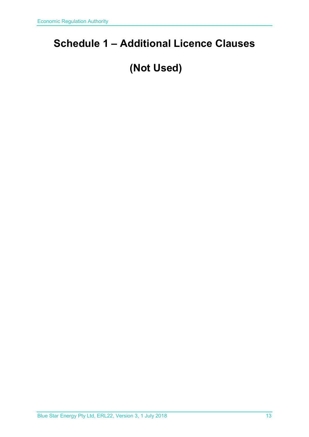# <span id="page-12-0"></span>**Schedule 1 – Additional Licence Clauses**

# **(Not Used)**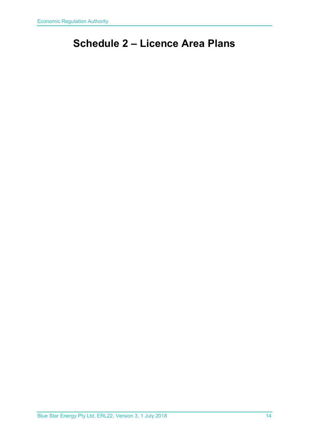# <span id="page-13-0"></span>**Schedule 2 – Licence Area Plans**